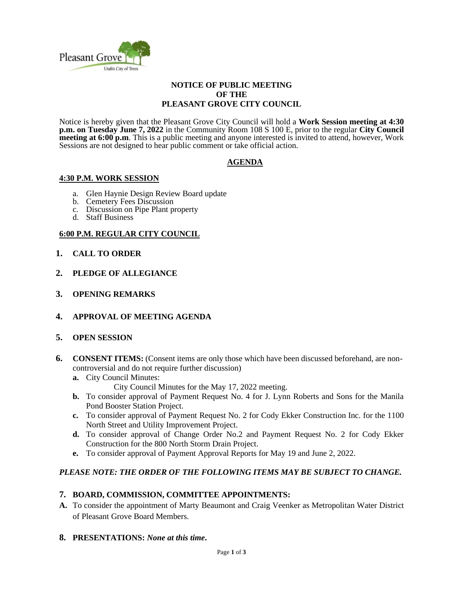

#### **NOTICE OF PUBLIC MEETING OF THE PLEASANT GROVE CITY COUNCIL**

Notice is hereby given that the Pleasant Grove City Council will hold a **Work Session meeting at 4:30 p.m. on Tuesday June 7, 2022** in the Community Room 108 S 100 E, prior to the regular **City Council meeting at 6:00 p.m.** This is a public meeting and anyone interested is invited to attend, however, Work Sessions are not designed to hear public comment or take official action.

## **AGENDA**

## **4:30 P.M. WORK SESSION**

- a. Glen Haynie Design Review Board update
- b. Cemetery Fees Discussion
- c. Discussion on Pipe Plant property
- d. Staff Business

## **6:00 P.M. REGULAR CITY COUNCIL**

- **1. CALL TO ORDER**
- **2. PLEDGE OF ALLEGIANCE**
- **3. OPENING REMARKS**
- **4. APPROVAL OF MEETING AGENDA**
- **5. OPEN SESSION**
- **6. CONSENT ITEMS:** (Consent items are only those which have been discussed beforehand, are noncontroversial and do not require further discussion)
	- **a.** City Council Minutes:

City Council Minutes for the May 17, 2022 meeting.

- **b.** To consider approval of Payment Request No. 4 for J. Lynn Roberts and Sons for the Manila Pond Booster Station Project.
- **c.** To consider approval of Payment Request No. 2 for Cody Ekker Construction Inc. for the 1100 North Street and Utility Improvement Project.
- **d.** To consider approval of Change Order No.2 and Payment Request No. 2 for Cody Ekker Construction for the 800 North Storm Drain Project.
- **e.** To consider approval of Payment Approval Reports for May 19 and June 2, 2022.

### *PLEASE NOTE: THE ORDER OF THE FOLLOWING ITEMS MAY BE SUBJECT TO CHANGE.*

### **7. BOARD, COMMISSION, COMMITTEE APPOINTMENTS:**

**A.** To consider the appointment of Marty Beaumont and Craig Veenker as Metropolitan Water District of Pleasant Grove Board Members.

### **8. PRESENTATIONS:** *None at this time***.**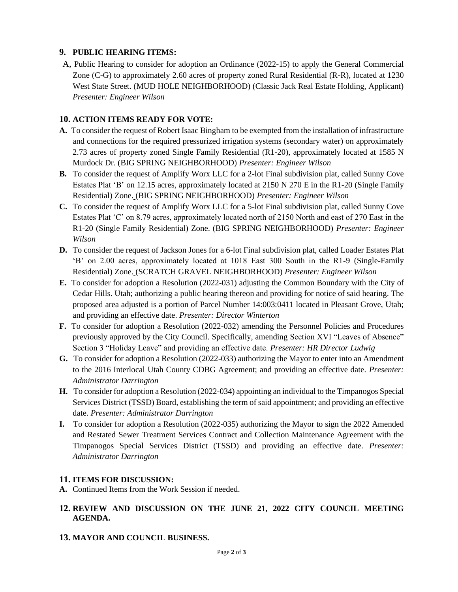# **9. PUBLIC HEARING ITEMS:**

A, Public Hearing to consider for adoption an Ordinance (2022-15) to apply the General Commercial Zone (C-G) to approximately 2.60 acres of property zoned Rural Residential (R-R), located at 1230 West State Street. (MUD HOLE NEIGHBORHOOD) (Classic Jack Real Estate Holding, Applicant) *Presenter: Engineer Wilson* 

# **10. ACTION ITEMS READY FOR VOTE:**

- **A.** To consider the request of Robert Isaac Bingham to be exempted from the installation of infrastructure and connections for the required pressurized irrigation systems (secondary water) on approximately 2.73 acres of property zoned Single Family Residential (R1-20), approximately located at 1585 N Murdock Dr. (BIG SPRING NEIGHBORHOOD) *Presenter: Engineer Wilson*
- **B.** To consider the request of Amplify Worx LLC for a 2-lot Final subdivision plat, called Sunny Cove Estates Plat 'B' on 12.15 acres, approximately located at 2150 N 270 E in the R1-20 (Single Family Residential) Zone. (BIG SPRING NEIGHBORHOOD) *Presenter: Engineer Wilson*
- **C.** To consider the request of Amplify Worx LLC for a 5-lot Final subdivision plat, called Sunny Cove Estates Plat 'C' on 8.79 acres, approximately located north of 2150 North and east of 270 East in the R1-20 (Single Family Residential) Zone. (BIG SPRING NEIGHBORHOOD) *Presenter: Engineer Wilson*
- **D.** To consider the request of Jackson Jones for a 6-lot Final subdivision plat, called Loader Estates Plat 'B' on 2.00 acres, approximately located at 1018 East 300 South in the R1-9 (Single-Family Residential) Zone. (SCRATCH GRAVEL NEIGHBORHOOD) *Presenter: Engineer Wilson*
- **E.** To consider for adoption a Resolution (2022-031) adjusting the Common Boundary with the City of Cedar Hills. Utah; authorizing a public hearing thereon and providing for notice of said hearing. The proposed area adjusted is a portion of Parcel Number 14:003:0411 located in Pleasant Grove, Utah; and providing an effective date. *Presenter: Director Winterton*
- **F.** To consider for adoption a Resolution (2022-032) amending the Personnel Policies and Procedures previously approved by the City Council. Specifically, amending Section XVI "Leaves of Absence" Section 3 "Holiday Leave" and providing an effective date. *Presenter: HR Director Ludwig*
- **G.** To consider for adoption a Resolution (2022-033) authorizing the Mayor to enter into an Amendment to the 2016 Interlocal Utah County CDBG Agreement; and providing an effective date. *Presenter: Administrator Darrington*
- **H.** To consider for adoption a Resolution (2022-034) appointing an individual to the Timpanogos Special Services District (TSSD) Board, establishing the term of said appointment; and providing an effective date. *Presenter: Administrator Darrington*
- **I.** To consider for adoption a Resolution (2022-035) authorizing the Mayor to sign the 2022 Amended and Restated Sewer Treatment Services Contract and Collection Maintenance Agreement with the Timpanogos Special Services District (TSSD) and providing an effective date. *Presenter: Administrator Darrington*

# **11. ITEMS FOR DISCUSSION:**

**A.** Continued Items from the Work Session if needed.

# **12. REVIEW AND DISCUSSION ON THE JUNE 21, 2022 CITY COUNCIL MEETING AGENDA.**

**13. MAYOR AND COUNCIL BUSINESS.**